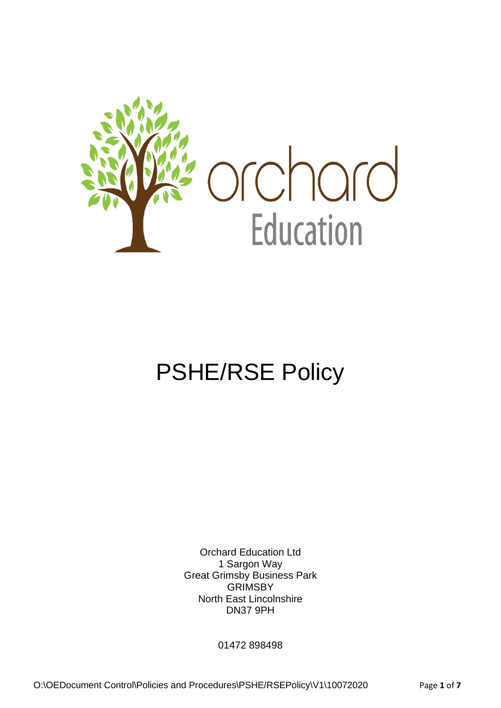

# PSHE/RSE Policy

Orchard Education Ltd 1 Sargon Way Great Grimsby Business Park **GRIMSBY** North East Lincolnshire DN37 9PH

01472 898498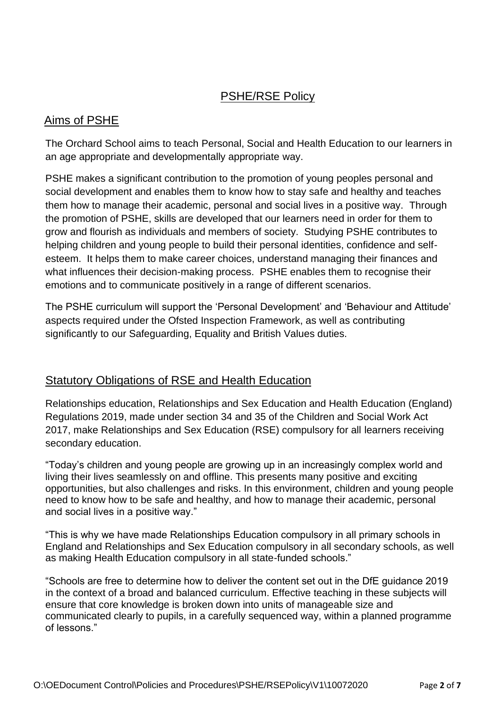## PSHE/RSE Policy

## Aims of PSHE

The Orchard School aims to teach Personal, Social and Health Education to our learners in an age appropriate and developmentally appropriate way.

PSHE makes a significant contribution to the promotion of young peoples personal and social development and enables them to know how to stay safe and healthy and teaches them how to manage their academic, personal and social lives in a positive way. Through the promotion of PSHE, skills are developed that our learners need in order for them to grow and flourish as individuals and members of society. Studying PSHE contributes to helping children and young people to build their personal identities, confidence and selfesteem. It helps them to make career choices, understand managing their finances and what influences their decision-making process. PSHE enables them to recognise their emotions and to communicate positively in a range of different scenarios.

The PSHE curriculum will support the 'Personal Development' and 'Behaviour and Attitude' aspects required under the Ofsted Inspection Framework, as well as contributing significantly to our Safeguarding, Equality and British Values duties.

## Statutory Obligations of RSE and Health Education

Relationships education, Relationships and Sex Education and Health Education (England) Regulations 2019, made under section 34 and 35 of the Children and Social Work Act 2017, make Relationships and Sex Education (RSE) compulsory for all learners receiving secondary education.

"Today's children and young people are growing up in an increasingly complex world and living their lives seamlessly on and offline. This presents many positive and exciting opportunities, but also challenges and risks. In this environment, children and young people need to know how to be safe and healthy, and how to manage their academic, personal and social lives in a positive way."

"This is why we have made Relationships Education compulsory in all primary schools in England and Relationships and Sex Education compulsory in all secondary schools, as well as making Health Education compulsory in all state-funded schools."

"Schools are free to determine how to deliver the content set out in the DfE guidance 2019 in the context of a broad and balanced curriculum. Effective teaching in these subjects will ensure that core knowledge is broken down into units of manageable size and communicated clearly to pupils, in a carefully sequenced way, within a planned programme of lessons."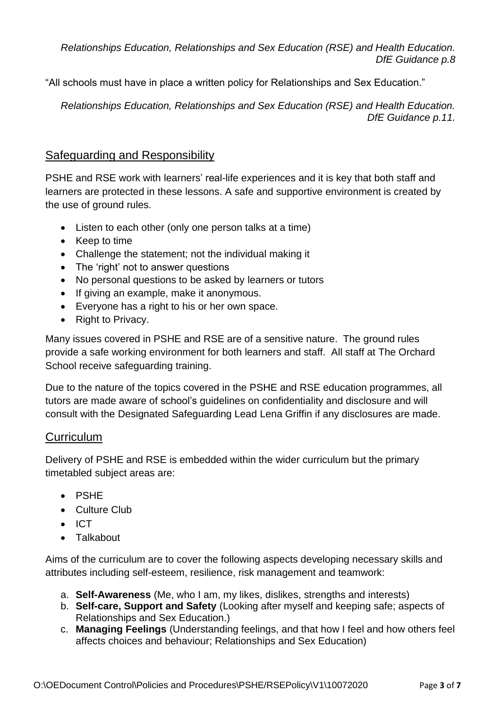*Relationships Education, Relationships and Sex Education (RSE) and Health Education. DfE Guidance p.8*

"All schools must have in place a written policy for Relationships and Sex Education."

 *Relationships Education, Relationships and Sex Education (RSE) and Health Education. DfE Guidance p.11.*

## Safeguarding and Responsibility

PSHE and RSE work with learners' real-life experiences and it is key that both staff and learners are protected in these lessons. A safe and supportive environment is created by the use of ground rules.

- Listen to each other (only one person talks at a time)
- Keep to time
- Challenge the statement; not the individual making it
- The 'right' not to answer questions
- No personal questions to be asked by learners or tutors
- If giving an example, make it anonymous.
- Everyone has a right to his or her own space.
- Right to Privacy.

Many issues covered in PSHE and RSE are of a sensitive nature. The ground rules provide a safe working environment for both learners and staff. All staff at The Orchard School receive safeguarding training.

Due to the nature of the topics covered in the PSHE and RSE education programmes, all tutors are made aware of school's guidelines on confidentiality and disclosure and will consult with the Designated Safeguarding Lead Lena Griffin if any disclosures are made.

## **Curriculum**

Delivery of PSHE and RSE is embedded within the wider curriculum but the primary timetabled subject areas are:

- PSHE
- Culture Club
- ICT
- Talkabout

Aims of the curriculum are to cover the following aspects developing necessary skills and attributes including self-esteem, resilience, risk management and teamwork:

- a. **Self-Awareness** (Me, who I am, my likes, dislikes, strengths and interests)
- b. **Self-care, Support and Safety** (Looking after myself and keeping safe; aspects of Relationships and Sex Education.)
- c. **Managing Feelings** (Understanding feelings, and that how I feel and how others feel affects choices and behaviour; Relationships and Sex Education)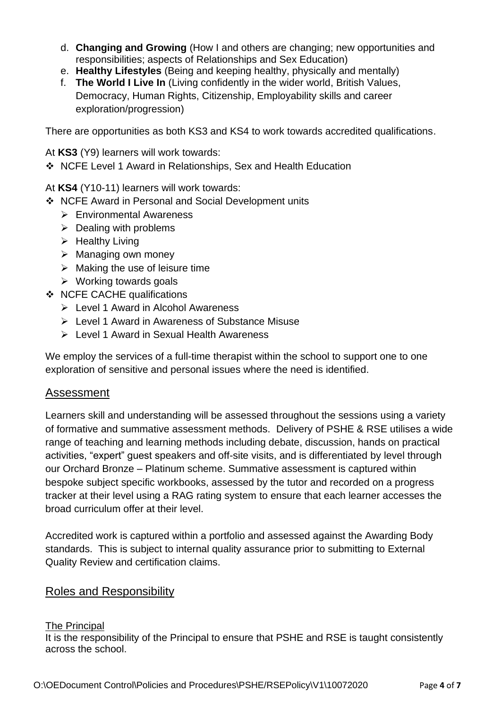- d. **Changing and Growing** (How I and others are changing; new opportunities and responsibilities; aspects of Relationships and Sex Education)
- e. **Healthy Lifestyles** (Being and keeping healthy, physically and mentally)
- f. **The World I Live In** (Living confidently in the wider world, British Values, Democracy, Human Rights, Citizenship, Employability skills and career exploration/progression)

There are opportunities as both KS3 and KS4 to work towards accredited qualifications.

At **KS3** (Y9) learners will work towards:

❖ NCFE Level 1 Award in Relationships, Sex and Health Education

At **KS4** (Y10-11) learners will work towards:

- ❖ NCFE Award in Personal and Social Development units
	- ➢ Environmental Awareness
	- $\triangleright$  Dealing with problems
	- $\triangleright$  Healthy Living
	- ➢ Managing own money
	- $\triangleright$  Making the use of leisure time
	- $\triangleright$  Working towards goals
- ❖ NCFE CACHE qualifications
	- ➢ Level 1 Award in Alcohol Awareness
	- ➢ Level 1 Award in Awareness of Substance Misuse
	- ➢ Level 1 Award in Sexual Health Awareness

We employ the services of a full-time therapist within the school to support one to one exploration of sensitive and personal issues where the need is identified.

#### Assessment

Learners skill and understanding will be assessed throughout the sessions using a variety of formative and summative assessment methods. Delivery of PSHE & RSE utilises a wide range of teaching and learning methods including debate, discussion, hands on practical activities, "expert" guest speakers and off-site visits, and is differentiated by level through our Orchard Bronze – Platinum scheme. Summative assessment is captured within bespoke subject specific workbooks, assessed by the tutor and recorded on a progress tracker at their level using a RAG rating system to ensure that each learner accesses the broad curriculum offer at their level.

Accredited work is captured within a portfolio and assessed against the Awarding Body standards. This is subject to internal quality assurance prior to submitting to External Quality Review and certification claims.

## Roles and Responsibility

#### The Principal

It is the responsibility of the Principal to ensure that PSHE and RSE is taught consistently across the school.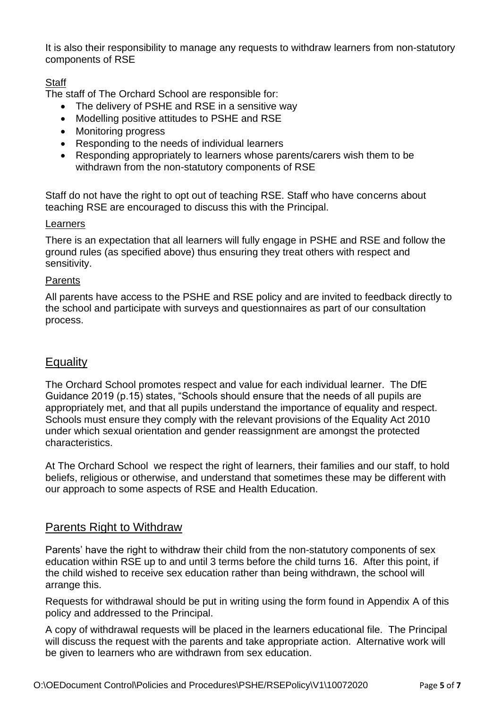It is also their responsibility to manage any requests to withdraw learners from non-statutory components of RSE

#### **Staff**

The staff of The Orchard School are responsible for:

- The delivery of PSHE and RSE in a sensitive way
- Modelling positive attitudes to PSHE and RSE
- Monitoring progress
- Responding to the needs of individual learners
- Responding appropriately to learners whose parents/carers wish them to be withdrawn from the non-statutory components of RSE

Staff do not have the right to opt out of teaching RSE. Staff who have concerns about teaching RSE are encouraged to discuss this with the Principal.

#### **Learners**

There is an expectation that all learners will fully engage in PSHE and RSE and follow the ground rules (as specified above) thus ensuring they treat others with respect and sensitivity.

#### Parents

All parents have access to the PSHE and RSE policy and are invited to feedback directly to the school and participate with surveys and questionnaires as part of our consultation process.

## **Equality**

The Orchard School promotes respect and value for each individual learner. The DfE Guidance 2019 (p.15) states, "Schools should ensure that the needs of all pupils are appropriately met, and that all pupils understand the importance of equality and respect. Schools must ensure they comply with the relevant provisions of the Equality Act 2010 under which sexual orientation and gender reassignment are amongst the protected characteristics.

At The Orchard School we respect the right of learners, their families and our staff, to hold beliefs, religious or otherwise, and understand that sometimes these may be different with our approach to some aspects of RSE and Health Education.

## Parents Right to Withdraw

Parents' have the right to withdraw their child from the non-statutory components of sex education within RSE up to and until 3 terms before the child turns 16. After this point, if the child wished to receive sex education rather than being withdrawn, the school will arrange this.

Requests for withdrawal should be put in writing using the form found in Appendix A of this policy and addressed to the Principal.

A copy of withdrawal requests will be placed in the learners educational file. The Principal will discuss the request with the parents and take appropriate action. Alternative work will be given to learners who are withdrawn from sex education.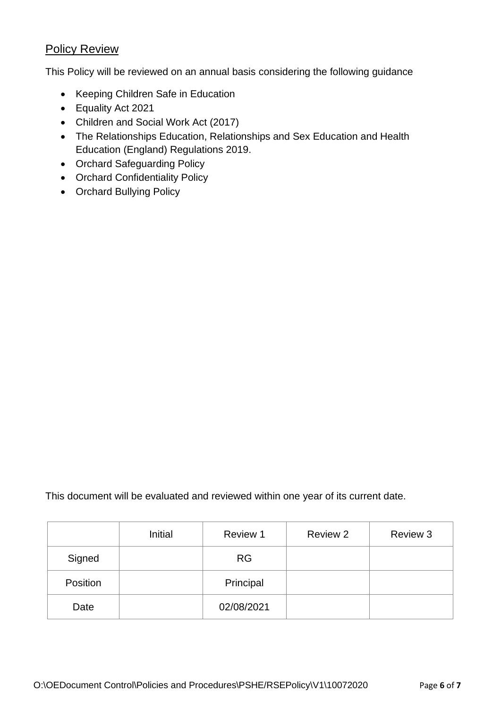## **Policy Review**

This Policy will be reviewed on an annual basis considering the following guidance

- Keeping Children Safe in Education
- Equality Act 2021
- Children and Social Work Act (2017)
- The Relationships Education, Relationships and Sex Education and Health Education (England) Regulations 2019.
- Orchard Safeguarding Policy
- Orchard Confidentiality Policy
- Orchard Bullying Policy

This document will be evaluated and reviewed within one year of its current date.

|          | Initial | Review 1   | Review 2 | Review 3 |
|----------|---------|------------|----------|----------|
| Signed   |         | <b>RG</b>  |          |          |
| Position |         | Principal  |          |          |
| Date     |         | 02/08/2021 |          |          |